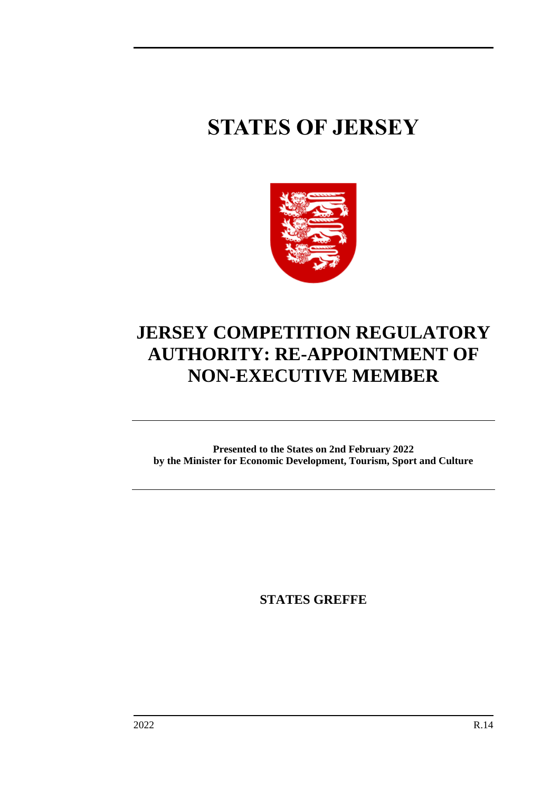# **STATES OF JERSEY**



# **JERSEY COMPETITION REGULATORY AUTHORITY: RE-APPOINTMENT OF NON-EXECUTIVE MEMBER**

**Presented to the States on 2nd February 2022 by the Minister for Economic Development, Tourism, Sport and Culture**

**STATES GREFFE**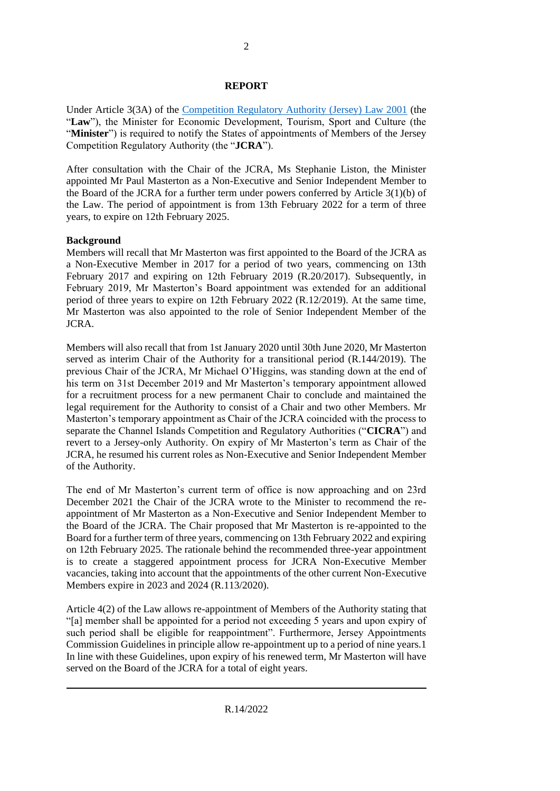# **REPORT**

Under Article 3(3A) of the [Competition Regulatory Authority \(Jersey\) Law 2001](https://www.jerseylaw.je/laws/revised/Pages/05.075.aspx) (the "**Law**"), the Minister for Economic Development, Tourism, Sport and Culture (the "**Minister**") is required to notify the States of appointments of Members of the Jersey Competition Regulatory Authority (the "**JCRA**").

After consultation with the Chair of the JCRA, Ms Stephanie Liston, the Minister appointed Mr Paul Masterton as a Non-Executive and Senior Independent Member to the Board of the JCRA for a further term under powers conferred by Article 3(1)(b) of the Law. The period of appointment is from 13th February 2022 for a term of three years, to expire on 12th February 2025.

# **Background**

Members will recall that Mr Masterton was first appointed to the Board of the JCRA as a Non-Executive Member in 2017 for a period of two years, commencing on 13th February 2017 and expiring on 12th February 2019 (R.20/2017). Subsequently, in February 2019, Mr Masterton's Board appointment was extended for an additional period of three years to expire on 12th February 2022 (R.12/2019). At the same time, Mr Masterton was also appointed to the role of Senior Independent Member of the JCRA.

Members will also recall that from 1st January 2020 until 30th June 2020, Mr Masterton served as interim Chair of the Authority for a transitional period (R.144/2019). The previous Chair of the JCRA, Mr Michael O'Higgins, was standing down at the end of his term on 31st December 2019 and Mr Masterton's temporary appointment allowed for a recruitment process for a new permanent Chair to conclude and maintained the legal requirement for the Authority to consist of a Chair and two other Members. Mr Masterton's temporary appointment as Chair of the JCRA coincided with the process to separate the Channel Islands Competition and Regulatory Authorities ("**CICRA**") and revert to a Jersey-only Authority. On expiry of Mr Masterton's term as Chair of the JCRA, he resumed his current roles as Non-Executive and Senior Independent Member of the Authority.

The end of Mr Masterton's current term of office is now approaching and on 23rd December 2021 the Chair of the JCRA wrote to the Minister to recommend the reappointment of Mr Masterton as a Non-Executive and Senior Independent Member to the Board of the JCRA. The Chair proposed that Mr Masterton is re-appointed to the Board for a further term of three years, commencing on 13th February 2022 and expiring on 12th February 2025. The rationale behind the recommended three-year appointment is to create a staggered appointment process for JCRA Non-Executive Member vacancies, taking into account that the appointments of the other current Non-Executive Members expire in 2023 and 2024 (R.113/2020).

Article 4(2) of the Law allows re-appointment of Members of the Authority stating that "[a] member shall be appointed for a period not exceeding 5 years and upon expiry of such period shall be eligible for reappointment". Furthermore, Jersey Appointments Commission Guidelines in principle allow re-appointment up to a period of nine years.1 In line with these Guidelines, upon expiry of his renewed term, Mr Masterton will have served on the Board of the JCRA for a total of eight years.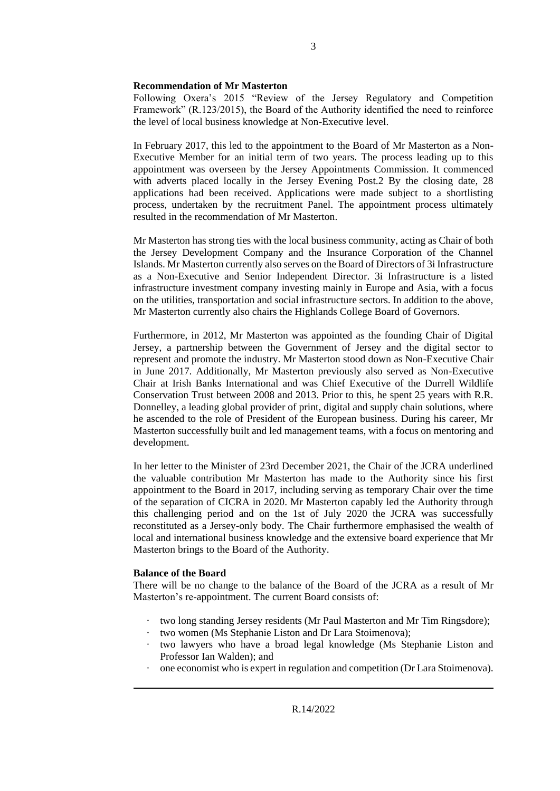### **Recommendation of Mr Masterton**

Following Oxera's 2015 "Review of the Jersey Regulatory and Competition Framework" (R.123/2015), the Board of the Authority identified the need to reinforce the level of local business knowledge at Non-Executive level.

In February 2017, this led to the appointment to the Board of Mr Masterton as a Non-Executive Member for an initial term of two years. The process leading up to this appointment was overseen by the Jersey Appointments Commission. It commenced with adverts placed locally in the Jersey Evening Post.2 By the closing date, 28 applications had been received. Applications were made subject to a shortlisting process, undertaken by the recruitment Panel. The appointment process ultimately resulted in the recommendation of Mr Masterton.

Mr Masterton has strong ties with the local business community, acting as Chair of both the Jersey Development Company and the Insurance Corporation of the Channel Islands. Mr Masterton currently also serves on the Board of Directors of 3i Infrastructure as a Non-Executive and Senior Independent Director. 3i Infrastructure is a listed infrastructure investment company investing mainly in Europe and Asia, with a focus on the utilities, transportation and social infrastructure sectors. In addition to the above, Mr Masterton currently also chairs the Highlands College Board of Governors.

Furthermore, in 2012, Mr Masterton was appointed as the founding Chair of Digital Jersey, a partnership between the Government of Jersey and the digital sector to represent and promote the industry. Mr Masterton stood down as Non-Executive Chair in June 2017. Additionally, Mr Masterton previously also served as Non-Executive Chair at Irish Banks International and was Chief Executive of the Durrell Wildlife Conservation Trust between 2008 and 2013. Prior to this, he spent 25 years with R.R. Donnelley, a leading global provider of print, digital and supply chain solutions, where he ascended to the role of President of the European business. During his career, Mr Masterton successfully built and led management teams, with a focus on mentoring and development.

In her letter to the Minister of 23rd December 2021, the Chair of the JCRA underlined the valuable contribution Mr Masterton has made to the Authority since his first appointment to the Board in 2017, including serving as temporary Chair over the time of the separation of CICRA in 2020. Mr Masterton capably led the Authority through this challenging period and on the 1st of July 2020 the JCRA was successfully reconstituted as a Jersey-only body. The Chair furthermore emphasised the wealth of local and international business knowledge and the extensive board experience that Mr Masterton brings to the Board of the Authority.

## **Balance of the Board**

There will be no change to the balance of the Board of the JCRA as a result of Mr Masterton's re-appointment. The current Board consists of:

- · two long standing Jersey residents (Mr Paul Masterton and Mr Tim Ringsdore);
- · two women (Ms Stephanie Liston and Dr Lara Stoimenova);
- · two lawyers who have a broad legal knowledge (Ms Stephanie Liston and Professor Ian Walden); and
- one economist who is expert in regulation and competition (Dr Lara Stoimenova).